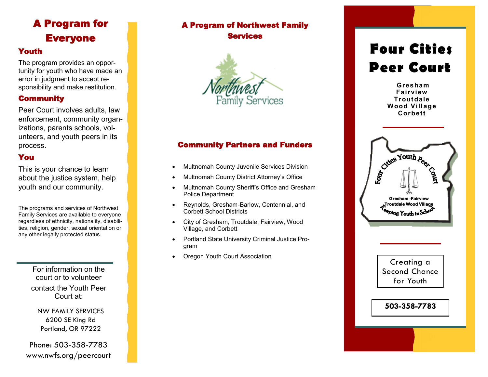### A Program for Everyone

### Youth

The program provides an opportunity for youth who have made an error in judgment to accept responsibility and make restitution.

### Community

Peer Court involves adults, law enforcement, community organ izations, parents schools, volunteers, and youth peers in its process.

### You

This is your chance to learn about the justice system, help youth and our community .

The programs and services of Northwest Family Services are available to everyone regardless of ethnicity, nationality, disabilities, religion, gender, sexual orientation or any other legally protected status.

> For information on the court or to volunteer contact the Youth Peer Court at:

NW FAMILY SERVICES 6200 SE King Rd Portland, OR 97222

Phone: 503 -358 -7783 www.nwfs.org/peercourt

### A Program of Northwest Family Services



### Community Partners and Funders

- Multnomah County Juvenile Services Division
- Multnomah County District Attorney's Office
- Multnomah County Sheriff's Office and Gresham Police Department
- Reynolds, Gresham-Barlow, Centennial, and Corbett School Districts
- City of Gresham, Troutdale, Fairview, Wood Village, and Corbett
- Portland State University Criminal Justice Program
- Oregon Youth Court Association

# **Four Cities Peer Court**

**Gresham Fairview Troutdale Wood Village Corbett**



Creating a Second Chance for Youth